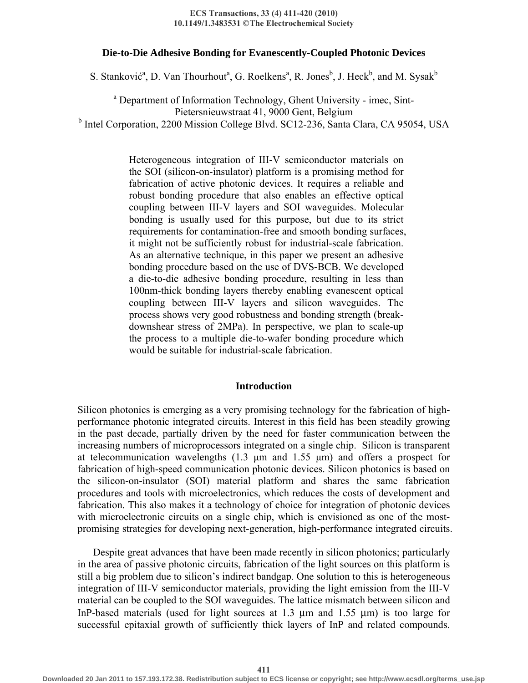#### **ECS Transactions, 33 (4) 411-420 (2010) 10.1149/1.3483531 © The Electrochemical Society**

### **Die-to-Die Adhesive Bonding for Evanescently-Coupled Photonic Devices**

S. Stanković<sup>a</sup>, D. Van Thourhout<sup>a</sup>, G. Roelkens<sup>a</sup>, R. Jones<sup>b</sup>, J. Heck<sup>b</sup>, and M. Sysak<sup>b</sup>

<sup>a</sup> Department of Information Technology, Ghent University - imec, Sint-Pietersnieuwstraat 41, 9000 Gent, Belgium <sup>b</sup> Intel Corporation, 2200 Mission College Blvd. SC12-236, Santa Clara, CA 95054, USA

> Heterogeneous integration of III-V semiconductor materials on the SOI (silicon-on-insulator) platform is a promising method for fabrication of active photonic devices. It requires a reliable and robust bonding procedure that also enables an effective optical coupling between III-V layers and SOI waveguides. Molecular bonding is usually used for this purpose, but due to its strict requirements for contamination-free and smooth bonding surfaces, it might not be sufficiently robust for industrial-scale fabrication. As an alternative technique, in this paper we present an adhesive bonding procedure based on the use of DVS-BCB. We developed a die-to-die adhesive bonding procedure, resulting in less than 100nm-thick bonding layers thereby enabling evanescent optical coupling between III-V layers and silicon waveguides. The process shows very good robustness and bonding strength (breakdownshear stress of 2MPa). In perspective, we plan to scale-up the process to a multiple die-to-wafer bonding procedure which would be suitable for industrial-scale fabrication.

## **Introduction**

Silicon photonics is emerging as a very promising technology for the fabrication of highperformance photonic integrated circuits. Interest in this field has been steadily growing in the past decade, partially driven by the need for faster communication between the increasing numbers of microprocessors integrated on a single chip. Silicon is transparent at telecommunication wavelengths (1.3 μm and 1.55 μm) and offers a prospect for fabrication of high-speed communication photonic devices. Silicon photonics is based on the silicon-on-insulator (SOI) material platform and shares the same fabrication procedures and tools with microelectronics, which reduces the costs of development and fabrication. This also makes it a technology of choice for integration of photonic devices with microelectronic circuits on a single chip, which is envisioned as one of the mostpromising strategies for developing next-generation, high-performance integrated circuits.

Despite great advances that have been made recently in silicon photonics; particularly in the area of passive photonic circuits, fabrication of the light sources on this platform is still a big problem due to silicon's indirect bandgap. One solution to this is heterogeneous integration of III-V semiconductor materials, providing the light emission from the III-V material can be coupled to the SOI waveguides. The lattice mismatch between silicon and InP-based materials (used for light sources at 1.3 μm and 1.55 μm) is too large for successful epitaxial growth of sufficiently thick layers of InP and related compounds.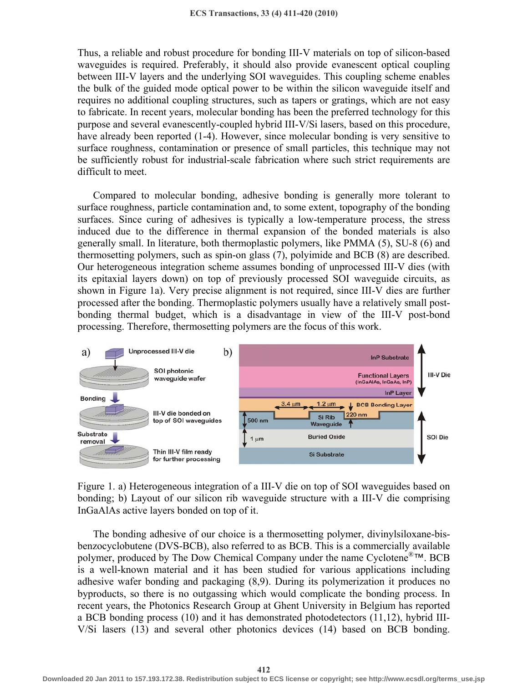Thus, a reliable and robust procedure for bonding III-V materials on top of silicon-based waveguides is required. Preferably, it should also provide evanescent optical coupling between III-V layers and the underlying SOI waveguides. This coupling scheme enables the bulk of the guided mode optical power to be within the silicon waveguide itself and requires no additional coupling structures, such as tapers or gratings, which are not easy to fabricate. In recent years, molecular bonding has been the preferred technology for this purpose and several evanescently-coupled hybrid III-V/Si lasers, based on this procedure, have already been reported (1-4). However, since molecular bonding is very sensitive to surface roughness, contamination or presence of small particles, this technique may not be sufficiently robust for industrial-scale fabrication where such strict requirements are difficult to meet.

Compared to molecular bonding, adhesive bonding is generally more tolerant to surface roughness, particle contamination and, to some extent, topography of the bonding surfaces. Since curing of adhesives is typically a low-temperature process, the stress induced due to the difference in thermal expansion of the bonded materials is also generally small. In literature, both thermoplastic polymers, like PMMA (5), SU-8 (6) and thermosetting polymers, such as spin-on glass (7), polyimide and BCB (8) are described. Our heterogeneous integration scheme assumes bonding of unprocessed III-V dies (with its epitaxial layers down) on top of previously processed SOI waveguide circuits, as shown in Figure 1a). Very precise alignment is not required, since III-V dies are further processed after the bonding. Thermoplastic polymers usually have a relatively small postbonding thermal budget, which is a disadvantage in view of the III-V post-bond processing. Therefore, thermosetting polymers are the focus of this work.



Figure 1. a) Heterogeneous integration of a III-V die on top of SOI waveguides based on bonding; b) Layout of our silicon rib waveguide structure with a III-V die comprising InGaAlAs active layers bonded on top of it.

The bonding adhesive of our choice is a thermosetting polymer, divinylsiloxane-bisbenzocyclobutene (DVS-BCB), also referred to as BCB. This is a commercially available polymer, produced by The Dow Chemical Company under the name Cyclotene®™. BCB is a well-known material and it has been studied for various applications including adhesive wafer bonding and packaging (8,9). During its polymerization it produces no byproducts, so there is no outgassing which would complicate the bonding process. In recent years, the Photonics Research Group at Ghent University in Belgium has reported a BCB bonding process (10) and it has demonstrated photodetectors (11,12), hybrid III-V/Si lasers (13) and several other photonics devices (14) based on BCB bonding.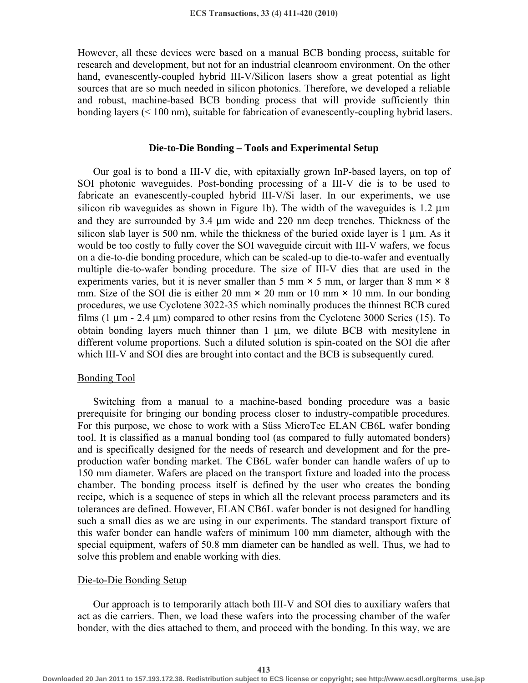However, all these devices were based on a manual BCB bonding process, suitable for research and development, but not for an industrial cleanroom environment. On the other hand, evanescently-coupled hybrid III-V/Silicon lasers show a great potential as light sources that are so much needed in silicon photonics. Therefore, we developed a reliable and robust, machine-based BCB bonding process that will provide sufficiently thin bonding layers (< 100 nm), suitable for fabrication of evanescently-coupling hybrid lasers.

## **Die-to-Die Bonding – Tools and Experimental Setup**

Our goal is to bond a III-V die, with epitaxially grown InP-based layers, on top of SOI photonic waveguides. Post-bonding processing of a III-V die is to be used to fabricate an evanescently-coupled hybrid III-V/Si laser. In our experiments, we use silicon rib waveguides as shown in Figure 1b). The width of the waveguides is 1.2 μm and they are surrounded by 3.4 μm wide and 220 nm deep trenches. Thickness of the silicon slab layer is 500 nm, while the thickness of the buried oxide layer is 1 μm. As it would be too costly to fully cover the SOI waveguide circuit with III-V wafers, we focus on a die-to-die bonding procedure, which can be scaled-up to die-to-wafer and eventually multiple die-to-wafer bonding procedure. The size of III-V dies that are used in the experiments varies, but it is never smaller than 5 mm  $\times$  5 mm, or larger than 8 mm  $\times$  8 mm. Size of the SOI die is either 20 mm  $\times$  20 mm or 10 mm  $\times$  10 mm. In our bonding procedures, we use Cyclotene 3022-35 which nominally produces the thinnest BCB cured films  $(1 \mu m - 2.4 \mu m)$  compared to other resins from the Cyclotene 3000 Series (15). To obtain bonding layers much thinner than 1 μm, we dilute BCB with mesitylene in different volume proportions. Such a diluted solution is spin-coated on the SOI die after which III-V and SOI dies are brought into contact and the BCB is subsequently cured.

### Bonding Tool

Switching from a manual to a machine-based bonding procedure was a basic prerequisite for bringing our bonding process closer to industry-compatible procedures. For this purpose, we chose to work with a Süss MicroTec ELAN CB6L wafer bonding tool. It is classified as a manual bonding tool (as compared to fully automated bonders) and is specifically designed for the needs of research and development and for the preproduction wafer bonding market. The CB6L wafer bonder can handle wafers of up to 150 mm diameter. Wafers are placed on the transport fixture and loaded into the process chamber. The bonding process itself is defined by the user who creates the bonding recipe, which is a sequence of steps in which all the relevant process parameters and its tolerances are defined. However, ELAN CB6L wafer bonder is not designed for handling such a small dies as we are using in our experiments. The standard transport fixture of this wafer bonder can handle wafers of minimum 100 mm diameter, although with the special equipment, wafers of 50.8 mm diameter can be handled as well. Thus, we had to solve this problem and enable working with dies.

## Die-to-Die Bonding Setup

Our approach is to temporarily attach both III-V and SOI dies to auxiliary wafers that act as die carriers. Then, we load these wafers into the processing chamber of the wafer bonder, with the dies attached to them, and proceed with the bonding. In this way, we are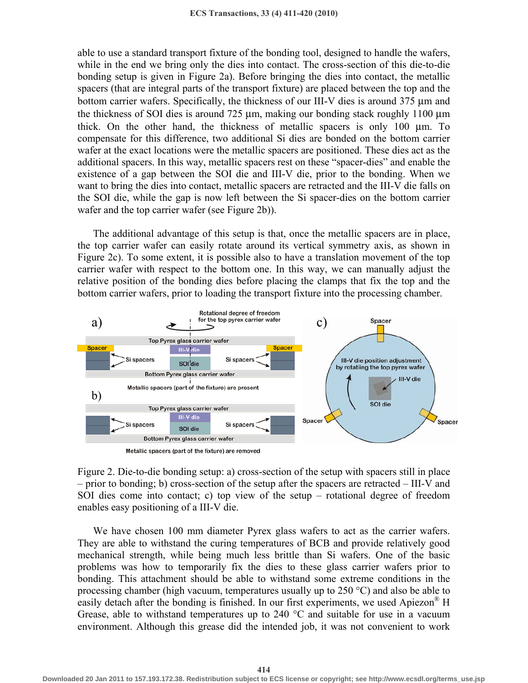able to use a standard transport fixture of the bonding tool, designed to handle the wafers, while in the end we bring only the dies into contact. The cross-section of this die-to-die bonding setup is given in Figure 2a). Before bringing the dies into contact, the metallic spacers (that are integral parts of the transport fixture) are placed between the top and the bottom carrier wafers. Specifically, the thickness of our III-V dies is around 375 μm and the thickness of SOI dies is around 725 μm, making our bonding stack roughly 1100 μm thick. On the other hand, the thickness of metallic spacers is only 100 μm. To compensate for this difference, two additional Si dies are bonded on the bottom carrier wafer at the exact locations were the metallic spacers are positioned. These dies act as the additional spacers. In this way, metallic spacers rest on these "spacer-dies" and enable the existence of a gap between the SOI die and III-V die, prior to the bonding. When we want to bring the dies into contact, metallic spacers are retracted and the III-V die falls on the SOI die, while the gap is now left between the Si spacer-dies on the bottom carrier wafer and the top carrier wafer (see Figure 2b)).

The additional advantage of this setup is that, once the metallic spacers are in place, the top carrier wafer can easily rotate around its vertical symmetry axis, as shown in Figure 2c). To some extent, it is possible also to have a translation movement of the top carrier wafer with respect to the bottom one. In this way, we can manually adjust the relative position of the bonding dies before placing the clamps that fix the top and the bottom carrier wafers, prior to loading the transport fixture into the processing chamber.



Figure 2. Die-to-die bonding setup: a) cross-section of the setup with spacers still in place – prior to bonding; b) cross-section of the setup after the spacers are retracted – III-V and SOI dies come into contact; c) top view of the setup – rotational degree of freedom enables easy positioning of a III-V die.

We have chosen 100 mm diameter Pyrex glass wafers to act as the carrier wafers. They are able to withstand the curing temperatures of BCB and provide relatively good mechanical strength, while being much less brittle than Si wafers. One of the basic problems was how to temporarily fix the dies to these glass carrier wafers prior to bonding. This attachment should be able to withstand some extreme conditions in the processing chamber (high vacuum, temperatures usually up to  $250 \degree C$ ) and also be able to easily detach after the bonding is finished. In our first experiments, we used Apiezon<sup>®</sup> H Grease, able to withstand temperatures up to 240  $\degree$ C and suitable for use in a vacuum environment. Although this grease did the intended job, it was not convenient to work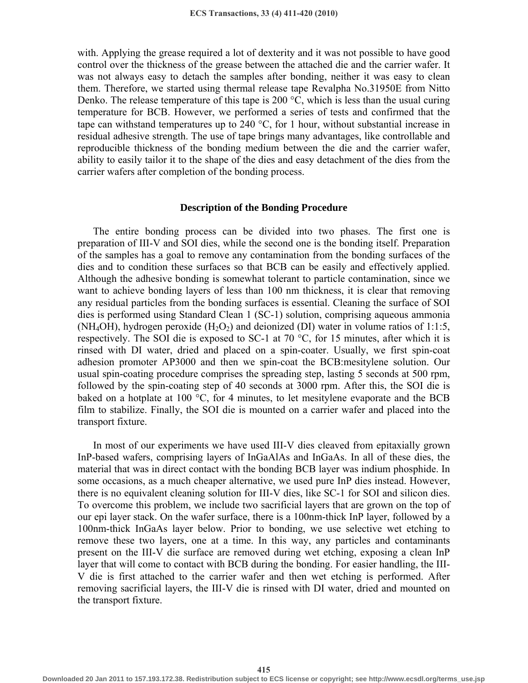with. Applying the grease required a lot of dexterity and it was not possible to have good control over the thickness of the grease between the attached die and the carrier wafer. It was not always easy to detach the samples after bonding, neither it was easy to clean them. Therefore, we started using thermal release tape Revalpha No.31950E from Nitto Denko. The release temperature of this tape is 200 °C, which is less than the usual curing temperature for BCB. However, we performed a series of tests and confirmed that the tape can withstand temperatures up to 240  $^{\circ}C$ , for 1 hour, without substantial increase in residual adhesive strength. The use of tape brings many advantages, like controllable and reproducible thickness of the bonding medium between the die and the carrier wafer, ability to easily tailor it to the shape of the dies and easy detachment of the dies from the carrier wafers after completion of the bonding process.

#### **Description of the Bonding Procedure**

The entire bonding process can be divided into two phases. The first one is preparation of III-V and SOI dies, while the second one is the bonding itself. Preparation of the samples has a goal to remove any contamination from the bonding surfaces of the dies and to condition these surfaces so that BCB can be easily and effectively applied. Although the adhesive bonding is somewhat tolerant to particle contamination, since we want to achieve bonding layers of less than 100 nm thickness, it is clear that removing any residual particles from the bonding surfaces is essential. Cleaning the surface of SOI dies is performed using Standard Clean 1 (SC-1) solution, comprising aqueous ammonia (NH<sub>4</sub>OH), hydrogen peroxide (H<sub>2</sub>O<sub>2</sub>) and deionized (DI) water in volume ratios of 1:1:5, respectively. The SOI die is exposed to SC-1 at 70 °C, for 15 minutes, after which it is rinsed with DI water, dried and placed on a spin-coater. Usually, we first spin-coat adhesion promoter AP3000 and then we spin-coat the BCB:mesitylene solution. Our usual spin-coating procedure comprises the spreading step, lasting 5 seconds at 500 rpm, followed by the spin-coating step of 40 seconds at 3000 rpm. After this, the SOI die is baked on a hotplate at 100 °C, for 4 minutes, to let mesitylene evaporate and the BCB film to stabilize. Finally, the SOI die is mounted on a carrier wafer and placed into the transport fixture.

In most of our experiments we have used III-V dies cleaved from epitaxially grown InP-based wafers, comprising layers of InGaAlAs and InGaAs. In all of these dies, the material that was in direct contact with the bonding BCB layer was indium phosphide. In some occasions, as a much cheaper alternative, we used pure InP dies instead. However, there is no equivalent cleaning solution for III-V dies, like SC-1 for SOI and silicon dies. To overcome this problem, we include two sacrificial layers that are grown on the top of our epi layer stack. On the wafer surface, there is a 100nm-thick InP layer, followed by a 100nm-thick InGaAs layer below. Prior to bonding, we use selective wet etching to remove these two layers, one at a time. In this way, any particles and contaminants present on the III-V die surface are removed during wet etching, exposing a clean InP layer that will come to contact with BCB during the bonding. For easier handling, the III-V die is first attached to the carrier wafer and then wet etching is performed. After removing sacrificial layers, the III-V die is rinsed with DI water, dried and mounted on the transport fixture.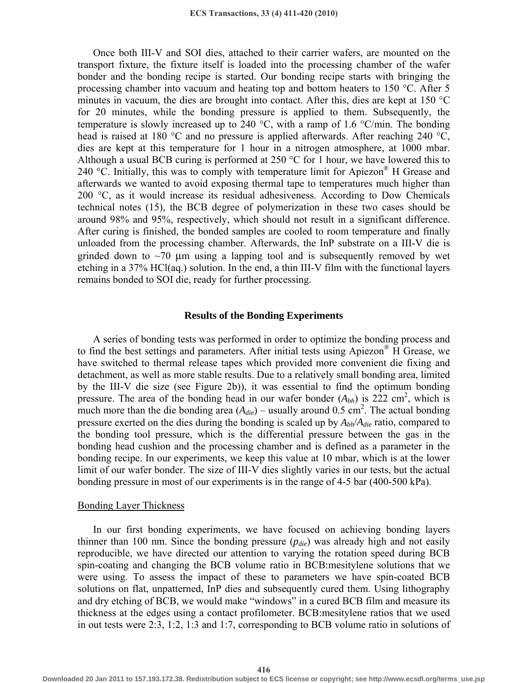Once both III-V and SOI dies, attached to their carrier wafers, are mounted on the transport fixture, the fixture itself is loaded into the processing chamber of the wafer bonder and the bonding recipe is started. Our bonding recipe starts with bringing the processing chamber into vacuum and heating top and bottom heaters to 150 °C. After 5 minutes in vacuum, the dies are brought into contact. After this, dies are kept at 150 °C for 20 minutes, while the bonding pressure is applied to them. Subsequently, the temperature is slowly increased up to 240  $^{\circ}$ C, with a ramp of 1.6  $^{\circ}$ C/min. The bonding head is raised at 180 °C and no pressure is applied afterwards. After reaching 240 °C, dies are kept at this temperature for 1 hour in a nitrogen atmosphere, at 1000 mbar. Although a usual BCB curing is performed at 250  $\degree$ C for 1 hour, we have lowered this to 240 °C. Initially, this was to comply with temperature limit for Apiezon® H Grease and afterwards we wanted to avoid exposing thermal tape to temperatures much higher than 200 °C, as it would increase its residual adhesiveness. According to Dow Chemicals technical notes (15), the BCB degree of polymerization in these two cases should be around 98% and 95%, respectively, which should not result in a significant difference. After curing is finished, the bonded samples are cooled to room temperature and finally unloaded from the processing chamber. Afterwards, the InP substrate on a III-V die is grinded down to  $\sim$ 70  $\mu$ m using a lapping tool and is subsequently removed by wet etching in a 37% HCl(aq.) solution. In the end, a thin III-V film with the functional layers remains bonded to SOI die, ready for further processing.

### **Results of the Bonding Experiments**

A series of bonding tests was performed in order to optimize the bonding process and to find the best settings and parameters. After initial tests using Apiezon® H Grease, we have switched to thermal release tapes which provided more convenient die fixing and detachment, as well as more stable results. Due to a relatively small bonding area, limited by the III-V die size (see Figure 2b)), it was essential to find the optimum bonding pressure. The area of the bonding head in our wafer bonder  $(A_{bh})$  is 222 cm<sup>2</sup>, which is much more than the die bonding area  $(A_{die})$  – usually around 0.5 cm<sup>2</sup>. The actual bonding pressure exerted on the dies during the bonding is scaled up by *Abh*/*Adie* ratio, compared to the bonding tool pressure, which is the differential pressure between the gas in the bonding head cushion and the processing chamber and is defined as a parameter in the bonding recipe. In our experiments, we keep this value at 10 mbar, which is at the lower limit of our wafer bonder. The size of III-V dies slightly varies in our tests, but the actual bonding pressure in most of our experiments is in the range of 4-5 bar (400-500 kPa).

#### Bonding Layer Thickness

In our first bonding experiments, we have focused on achieving bonding layers thinner than 100 nm. Since the bonding pressure (*pdie*) was already high and not easily reproducible, we have directed our attention to varying the rotation speed during BCB spin-coating and changing the BCB volume ratio in BCB:mesitylene solutions that we were using. To assess the impact of these to parameters we have spin-coated BCB solutions on flat, unpatterned, InP dies and subsequently cured them. Using lithography and dry etching of BCB, we would make "windows" in a cured BCB film and measure its thickness at the edges using a contact profilometer. BCB:mesitylene ratios that we used in out tests were 2:3, 1:2, 1:3 and 1:7, corresponding to BCB volume ratio in solutions of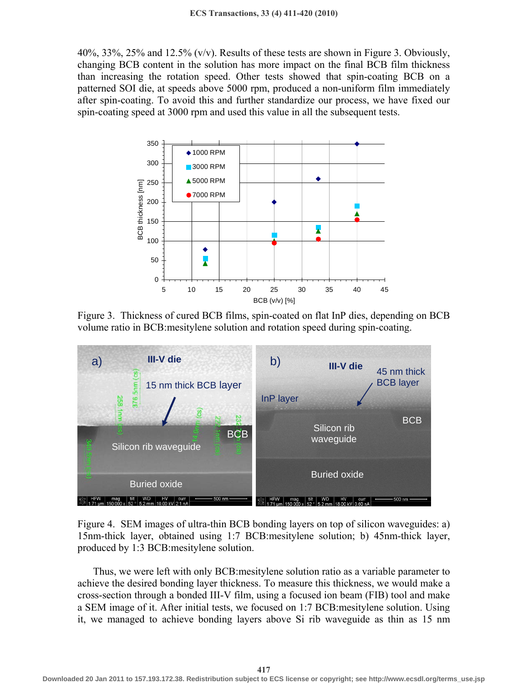40%, 33%, 25% and 12.5%  $(v/v)$ . Results of these tests are shown in Figure 3. Obviously, changing BCB content in the solution has more impact on the final BCB film thickness than increasing the rotation speed. Other tests showed that spin-coating BCB on a patterned SOI die, at speeds above 5000 rpm, produced a non-uniform film immediately after spin-coating. To avoid this and further standardize our process, we have fixed our spin-coating speed at 3000 rpm and used this value in all the subsequent tests.



Figure 3. Thickness of cured BCB films, spin-coated on flat InP dies, depending on BCB volume ratio in BCB:mesitylene solution and rotation speed during spin-coating.



Figure 4. SEM images of ultra-thin BCB bonding layers on top of silicon waveguides: a) 15nm-thick layer, obtained using 1:7 BCB:mesitylene solution; b) 45nm-thick layer, produced by 1:3 BCB:mesitylene solution.

Thus, we were left with only BCB:mesitylene solution ratio as a variable parameter to achieve the desired bonding layer thickness. To measure this thickness, we would make a cross-section through a bonded III-V film, using a focused ion beam (FIB) tool and make a SEM image of it. After initial tests, we focused on 1:7 BCB:mesitylene solution. Using it, we managed to achieve bonding layers above Si rib waveguide as thin as 15 nm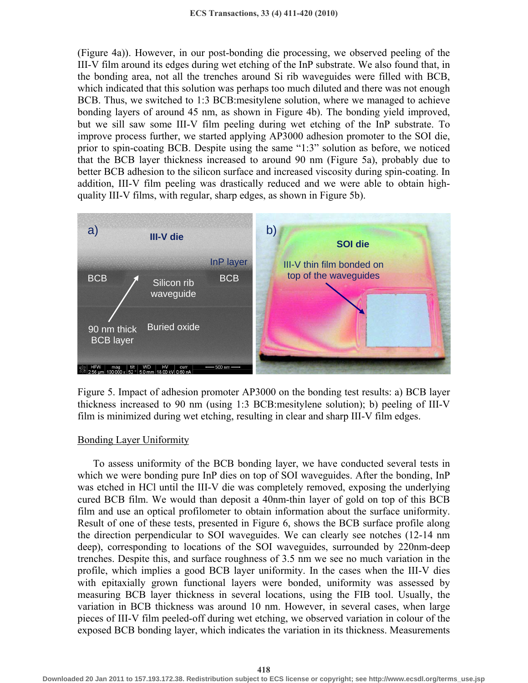(Figure 4a)). However, in our post-bonding die processing, we observed peeling of the III-V film around its edges during wet etching of the InP substrate. We also found that, in the bonding area, not all the trenches around Si rib waveguides were filled with BCB, which indicated that this solution was perhaps too much diluted and there was not enough BCB. Thus, we switched to 1:3 BCB:mesitylene solution, where we managed to achieve bonding layers of around 45 nm, as shown in Figure 4b). The bonding yield improved, but we sill saw some III-V film peeling during wet etching of the InP substrate. To improve process further, we started applying AP3000 adhesion promoter to the SOI die, prior to spin-coating BCB. Despite using the same "1:3" solution as before, we noticed that the BCB layer thickness increased to around 90 nm (Figure 5a), probably due to better BCB adhesion to the silicon surface and increased viscosity during spin-coating. In addition, III-V film peeling was drastically reduced and we were able to obtain highquality III-V films, with regular, sharp edges, as shown in Figure 5b).



Figure 5. Impact of adhesion promoter AP3000 on the bonding test results: a) BCB layer thickness increased to 90 nm (using 1:3 BCB:mesitylene solution); b) peeling of III-V film is minimized during wet etching, resulting in clear and sharp III-V film edges.

# Bonding Layer Uniformity

To assess uniformity of the BCB bonding layer, we have conducted several tests in which we were bonding pure InP dies on top of SOI waveguides. After the bonding, InP was etched in HCl until the III-V die was completely removed, exposing the underlying cured BCB film. We would than deposit a 40nm-thin layer of gold on top of this BCB film and use an optical profilometer to obtain information about the surface uniformity. Result of one of these tests, presented in Figure 6, shows the BCB surface profile along the direction perpendicular to SOI waveguides. We can clearly see notches (12-14 nm deep), corresponding to locations of the SOI waveguides, surrounded by 220nm-deep trenches. Despite this, and surface roughness of 3.5 nm we see no much variation in the profile, which implies a good BCB layer uniformity. In the cases when the III-V dies with epitaxially grown functional layers were bonded, uniformity was assessed by measuring BCB layer thickness in several locations, using the FIB tool. Usually, the variation in BCB thickness was around 10 nm. However, in several cases, when large pieces of III-V film peeled-off during wet etching, we observed variation in colour of the exposed BCB bonding layer, which indicates the variation in its thickness. Measurements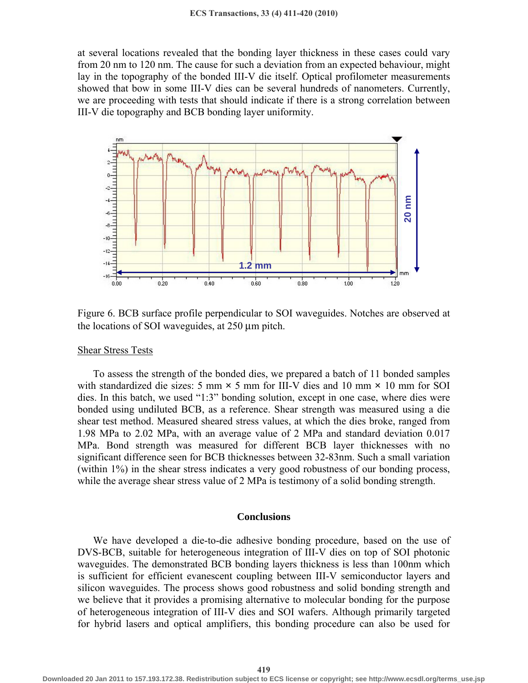at several locations revealed that the bonding layer thickness in these cases could vary from 20 nm to 120 nm. The cause for such a deviation from an expected behaviour, might lay in the topography of the bonded III-V die itself. Optical profilometer measurements showed that bow in some III-V dies can be several hundreds of nanometers. Currently, we are proceeding with tests that should indicate if there is a strong correlation between III-V die topography and BCB bonding layer uniformity.



Figure 6. BCB surface profile perpendicular to SOI waveguides. Notches are observed at the locations of SOI waveguides, at 250 μm pitch.

#### Shear Stress Tests

To assess the strength of the bonded dies, we prepared a batch of 11 bonded samples with standardized die sizes: 5 mm  $\times$  5 mm for III-V dies and 10 mm  $\times$  10 mm for SOI dies. In this batch, we used "1:3" bonding solution, except in one case, where dies were bonded using undiluted BCB, as a reference. Shear strength was measured using a die shear test method. Measured sheared stress values, at which the dies broke, ranged from 1.98 MPa to 2.02 MPa, with an average value of 2 MPa and standard deviation 0.017 MPa. Bond strength was measured for different BCB layer thicknesses with no significant difference seen for BCB thicknesses between 32-83nm. Such a small variation (within 1%) in the shear stress indicates a very good robustness of our bonding process, while the average shear stress value of 2 MPa is testimony of a solid bonding strength.

## **Conclusions**

We have developed a die-to-die adhesive bonding procedure, based on the use of DVS-BCB, suitable for heterogeneous integration of III-V dies on top of SOI photonic waveguides. The demonstrated BCB bonding layers thickness is less than 100nm which is sufficient for efficient evanescent coupling between III-V semiconductor layers and silicon waveguides. The process shows good robustness and solid bonding strength and we believe that it provides a promising alternative to molecular bonding for the purpose of heterogeneous integration of III-V dies and SOI wafers. Although primarily targeted for hybrid lasers and optical amplifiers, this bonding procedure can also be used for